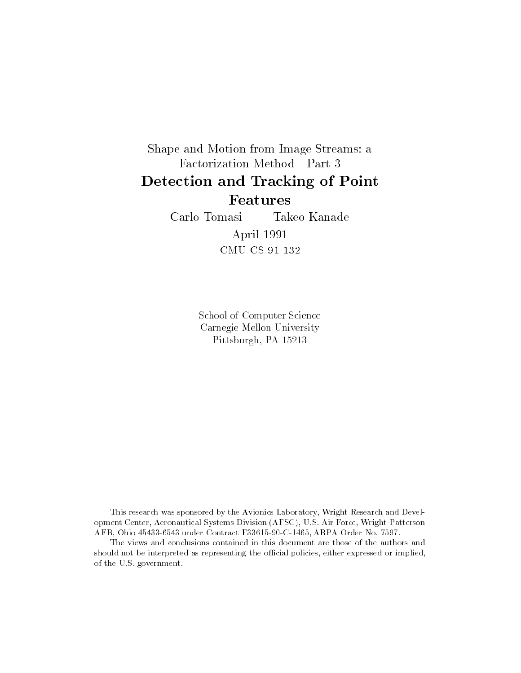### Shape and Motion from Image Streams: a Factorization Method-Part 3 Detection and Tracking of Point Features

Carlo Tomasi Takeo Kanade April 1991 CMU-CS-91-132

> School of Computer Science Carnegie Mellon University Pittsburgh, PA 15213

This research was sponsored by the Avionics Laboratory, Wright Research and Development Center, Aeronautical Systems Division (AFSC), U.S. Air Force, Wright-Patterson AFB, Ohio 45433-6543 under Contract F33615-90-C-1465, ARPA Order No. 7597.

The views and conclusions contained in this document are those of the authors and should not be interpreted as representing the official policies, either expressed or implied, of the U.S. government.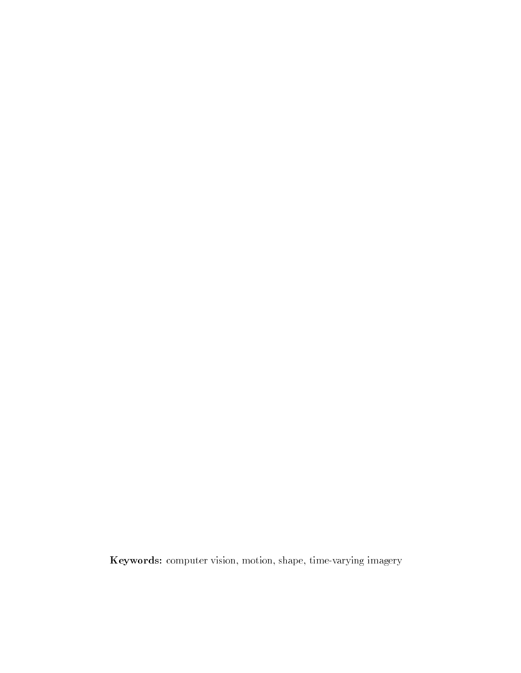Keywords: computer vision, motion, shape, time-varying imagery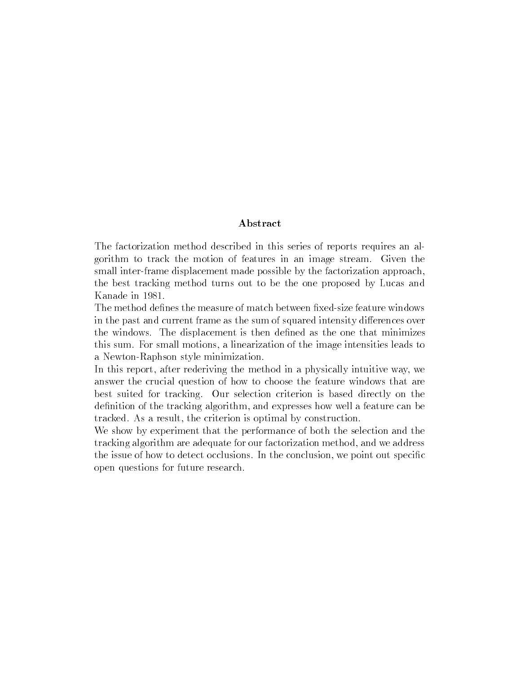#### Abstract

The factorization method described in this series of reports requires an algorithm to track the motion of features in an image stream. Given the small inter-frame displacement made possible by the factorization approach, the best tracking method turns out to be the one proposed by Lucas and

The method defines the measure of match between fixed-size feature windows in the past and current frame as the sum of squared intensity differences over the windows. The displacement is then defined as the one that minimizes this sum. For small motions, a linearization of the image intensities leads to a Newton-Raphson style minimization.

In this report, after rederiving the method in a physically intuitive way, we answer the crucial question of how to choose the feature windows that are best suited for tracking. Our selection criterion is based directly on the definition of the tracking algorithm, and expresses how well a feature can be tracked. As a result, the criterion is optimal by construction.

We show by experiment that the performance of both the selection and the tracking algorithm are adequate for our factorization method, and we address the issue of how to detect occlusions. In the conclusion, we point out specific open questions for future research.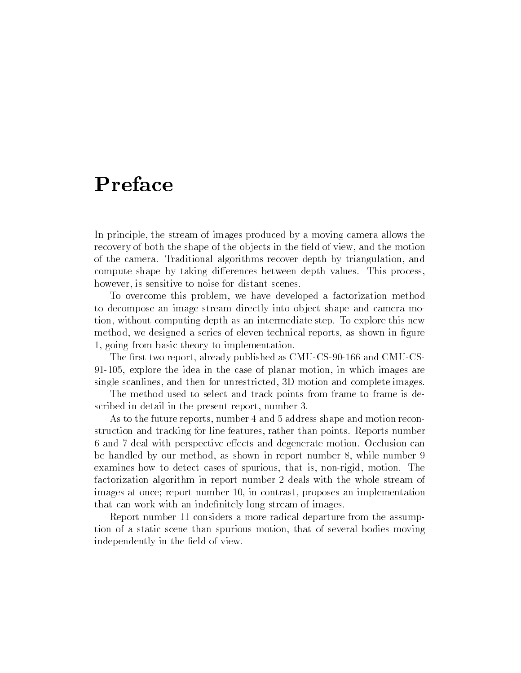### Preface

In principle, the stream of images produced by a moving camera allows the recovery of both the shape of the objects in the field of view, and the motion of the camera. Traditional algorithms recover depth by triangulation, and compute shape by taking differences between depth values. This process, however, is sensitive to noise for distant scenes.

To overcome this problem, we have developed a factorization method to decompose an image stream directly into object shape and camera motion, without computing depth as an intermediate step. To explore this new method, we designed a series of eleven technical reports, as shown in figure 1, going from basic theory to implementation.

The first two report, already published as CMU-CS-90-166 and CMU-CS-91-105, explore the idea in the case of planar motion, in which images are single scanlines, and then for unrestricted, 3D motion and complete images.

The method used to select and track points from frame to frame is described in detail in the present report, number 3.

As to the future reports, number 4 and 5 address shape and motion reconstruction and tracking for line features, rather than points. Reports number 6 and 7 deal with perspective effects and degenerate motion. Occlusion can be handled by our method, as shown in report number 8, while number 9 examines how to detect cases of spurious, that is, non-rigid, motion. The factorization algorithm in report number 2 deals with the whole stream of images at once; report number 10, in contrast, proposes an implementation that can work with an indefinitely long stream of images.

Report number 11 considers a more radical departure from the assumption of a static scene than spurious motion, that of several bodies moving independently in the field of view.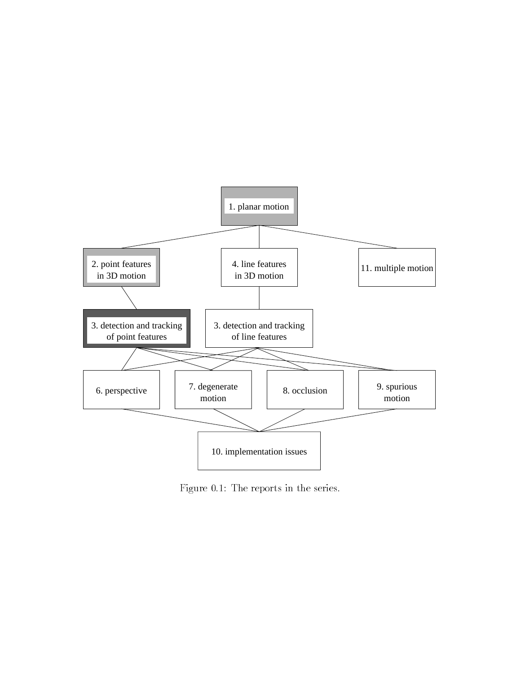

Figure 0.1: The reports in the series.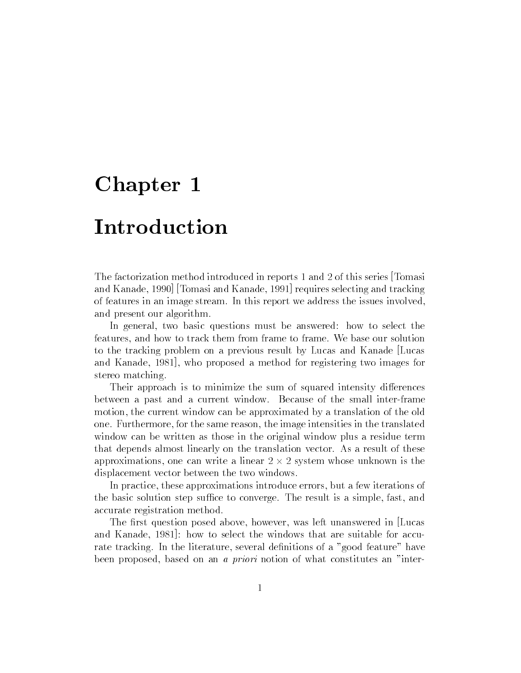### Introduction

The factorization method introduced in reports 1 and 2 of this series [Tomasi and Kanade, 1990] [Tomasi and Kanade, 1991] requires selecting and tracking of features in an image stream. In this report we address the issues involved, and present our algorithm.

In general, two basic questions must be answered: how to select the features, and how to track them from frame to frame. We base our solution to the tracking problem on a previous result by Lucas and Kanade [Lucas and Kanade, 1981], who proposed a method for registering two images for stereo matching.

Their approach is to minimize the sum of squared intensity differences between a past and a current window. Because of the small inter-frame motion, the current window can be approximated by a translation of the old one. Furthermore, for the same reason, the image intensities in the translated window can be written as those in the original window plus a residue term that depends almost linearly on the translation vector. As a result of these approximations, one can write a linear 2 - 2 system whose unknown is the displacement vector between the two windows.

In practice, these approximations introduce errors, but a few iterations of the basic solution step suffice to converge. The result is a simple, fast, and accurate registration method.

The first question posed above, however, was left unanswered in Lucas and Kanade, 1981]: how to select the windows that are suitable for accurate tracking. In the literature, several definitions of a "good feature" have been proposed, based on an a priori notion of what constitutes an "inter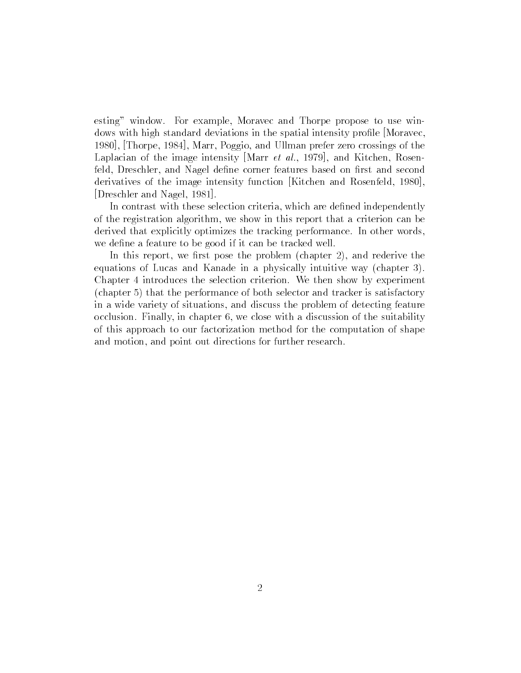esting" window. For example, Moravec and Thorpe propose to use windows with high standard deviations in the spatial intensity profile [Moravec, 1980], [Thorpe, 1984], Marr, Poggio, and Ullman prefer zero crossings of the Laplacian of the image intensity Marr *et al.*, 1979, and Kitchen, Rosenfeld, Dreschler, and Nagel define corner features based on first and second derivatives of the image intensity function [Kitchen and Rosenfeld, 1980], [Dreschler and Nagel, 1981].

In contrast with these selection criteria, which are defined independently of the registration algorithm, we show in this report that a criterion can be derived that explicitly optimizes the tracking performance. In other words, we define a feature to be good if it can be tracked well.

In this report, we first pose the problem (chapter 2), and rederive the equations of Lucas and Kanade in a physically intuitive way (chapter 3). Chapter 4 introduces the selection criterion. We then show by experiment (chapter 5) that the performance of both selector and tracker is satisfactory in a wide variety of situations, and discuss the problem of detecting feature occlusion. Finally, in chapter 6, we close with a discussion of the suitability of this approach to our factorization method for the computation of shape and motion, and point out directions for further research.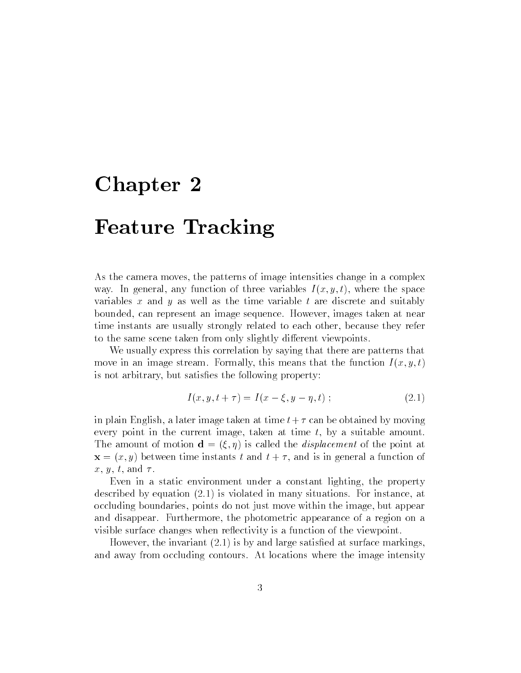### $-$  -  $-$  -  $-$  -  $-$  -  $-$  -  $-$  -  $-$  -  $-$

As the camera moves, the patterns of image intensities change in a complex way. In general, any function of three variables  $I(x, y, t)$ , where the space variables x and y as well as the time variable  $t$  are discrete and suitably bounded, can represent an image sequence. However, images taken at near time instants are usually strongly related to each other, because they refer to the same scene taken from only slightly different viewpoints.

We usually express this correlation by saying that there are patterns that move in an image stream. Formally, this means that the function  $I(x, y, t)$ is not arbitrary, but satisfies the following property:

$$
I(x, y, t + \tau) = I(x - \xi, y - \eta, t) ; \qquad (2.1)
$$

in plain English, a later image taken at time  $t + \tau$  can be obtained by moving every point in the current image, taken at time  $t$ , by a suitable amount. The amount of motion  $\mathbf{d} = (\xi, \eta)$  is called the *displacement* of the point at  $\mathbf{x} = (x, y)$  between time instants t and  $t + \tau$ , and is in general a function of  $x, y, t, \text{ and } \tau.$ 

Even in a static environment under a constant lighting, the property described by equation (2.1) is violated in many situations. For instance, at occluding boundaries, points do not just move within the image, but appear and disappear. Furthermore, the photometric appearance of a region on a visible surface changes when reflectivity is a function of the viewpoint.

However, the invariant  $(2.1)$  is by and large satisfied at surface markings, and away from occluding contours. At locations where the image intensity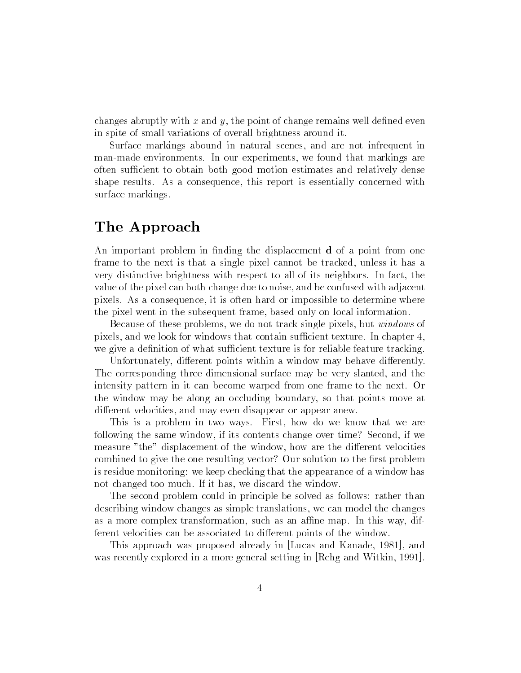changes abruptly with  $x$  and  $y$ , the point of change remains well defined even in spite of small variations of overall brightness around it.

Surface markings abound in natural scenes, and are not infrequent in man-made environments. In our experiments, we found that markings are often sufficient to obtain both good motion estimates and relatively dense shape results. As a consequence, this report is essentially concerned with surface markings.

### The Approach

An important problem in finding the displacement **d** of a point from one frame to the next is that a single pixel cannot be tracked, unless it has a very distinctive brightness with respect to all of its neighbors. In fact, the value of the pixel can both change due to noise, and be confused with adjacent pixels. As a consequence, it is often hard or impossible to determine where the pixel went in the subsequent frame, based only on local information.

Because of these problems, we do not track single pixels, but windows of pixels, and we look for windows that contain sufficient texture. In chapter 4, we give a definition of what sufficient texture is for reliable feature tracking.

Unfortunately, different points within a window may behave differently. The corresponding three-dimensional surface may be very slanted, and the intensity pattern in it can become warped from one frame to the next. Or the window may be along an occluding boundary, so that points move at different velocities, and may even disappear or appear anew.

This is a problem in two ways. First, how do we know that we are following the same window, if its contents change over time? Second, if we measure "the" displacement of the window, how are the different velocities combined to give the one resulting vector? Our solution to the first problem is residue monitoring: we keep checking that the appearance of a window has not changed too much. If it has, we discard the window.

The second problem could in principle be solved as follows: rather than describing window changes as simple translations, we can model the changes as a more complex transformation, such as an affine map. In this way, different velocities can be associated to different points of the window.

This approach was proposed already in [Lucas and Kanade, 1981], and was recently explored in a more general setting in [Rehg and Witkin, 1991].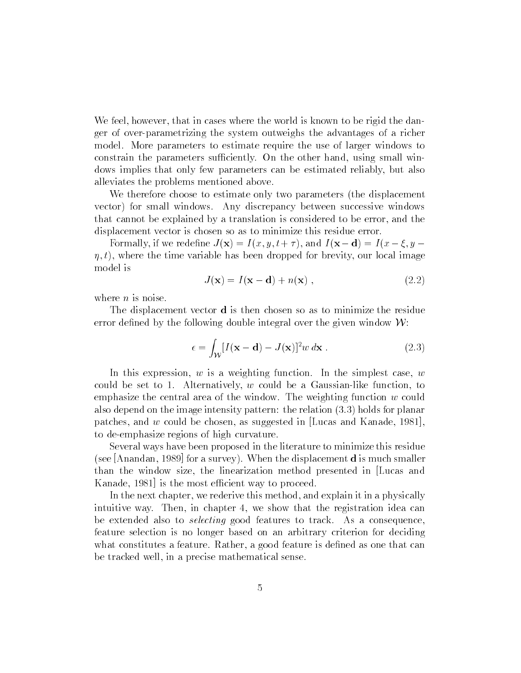We feel, however, that in cases where the world is known to be rigid the danger of over-parametrizing the system outweighs the advantages of a richer model. More parameters to estimate require the use of larger windows to constrain the parameters sufficiently. On the other hand, using small windows implies that only few parameters can be estimated reliably, but also alleviates the problems mentioned above.

We therefore choose to estimate only two parameters (the displacement vector) for small windows. Any discrepancy between successive windows that cannot be explained by a translation is considered to be error, and the displacement vector is chosen so as to minimize this residue error.

Formally, if we redefine  $J(\mathbf{x}) = I(x, y, t + \tau)$ , and  $I(\mathbf{x}-\mathbf{d}) = I(x - \xi, y - \tau)$  $\eta$ , t), where the time variable has been dropped for brevity, our local image model is

$$
J(\mathbf{x}) = I(\mathbf{x} - \mathbf{d}) + n(\mathbf{x}), \qquad (2.2)
$$

where  $n$  is noise.

The displacement vector d is then chosen so as to minimize the residue error defined by the following double integral over the given window  $W$ :

$$
\epsilon = \int_{\mathcal{W}} [I(\mathbf{x} - \mathbf{d}) - J(\mathbf{x})]^2 w \, d\mathbf{x} \,. \tag{2.3}
$$

In this expression,  $w$  is a weighting function. In the simplest case,  $w$ could be set to 1. Alternatively,  $w$  could be a Gaussian-like function, to emphasize the central area of the window. The weighting function  $w$  could also depend on the image intensity pattern: the relation (3.3) holds for planar patches, and w could be chosen, as suggested in [Lucas and Kanade, 1981], to de-emphasize regions of high curvature.

Several ways have been proposed in the literature to minimize this residue (see [Anandan, 1989] for a survey). When the displacement d is much smaller than the window size, the linearization method presented in [Lucas and Kanade, 1981 is the most efficient way to proceed.

In the next chapter, we rederive this method, and explain it in a physically intuitive way. Then, in chapter 4, we show that the registration idea can be extended also to *selecting* good features to track. As a consequence, feature selection is no longer based on an arbitrary criterion for deciding what constitutes a feature. Rather, a good feature is defined as one that can be tracked well, in a precise mathematical sense.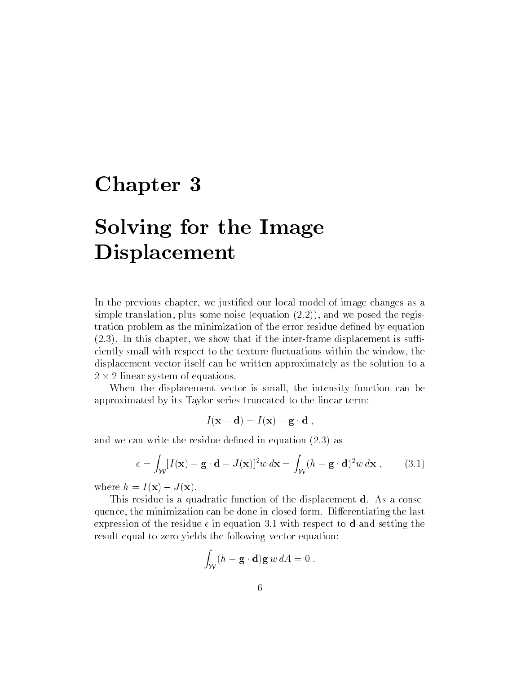# Solving for the Image of the Image of the Image of the Image of the Image of the Image of the Image of the Image of Displacement

In the previous chapter, we justified our local model of image changes as a simple translation, plus some noise (equation  $(2.2)$ ), and we posed the registration problem as the minimization of the error residue defined by equation  $(2.3)$ . In this chapter, we show that if the inter-frame displacement is sufficiently small with respect to the texture fluctuations within the window, the displacement vector itself can be written approximately as the solution to a 2 - 2 linear system of equations.

When the displacement vector is small, the intensity function can be approximated by its Taylor series truncated to the linear term:

$$
I(\mathbf{x} - \mathbf{d}) = I(\mathbf{x}) - \mathbf{g} \cdot \mathbf{d} ,
$$

and we can write the residue defined in equation  $(2.3)$  as

$$
\epsilon = \int_{\mathcal{W}} [I(\mathbf{x}) - \mathbf{g} \cdot \mathbf{d} - J(\mathbf{x})]^2 w \, d\mathbf{x} = \int_{\mathcal{W}} (h - \mathbf{g} \cdot \mathbf{d})^2 w \, d\mathbf{x}, \qquad (3.1)
$$

where  $h = I(\mathbf{x}) - J(\mathbf{x})$ .

This residue is a quadratic function of the displacement d. As a consequence, the minimization can be done in closed form. Differentiating the last expression of the residue  $\epsilon$  in equation 3.1 with respect to **d** and setting the result equal to zero yields the following vector equation:

$$
\int_{\mathcal{W}} (h - \mathbf{g} \cdot \mathbf{d}) \mathbf{g} \, w \, dA = 0 \; .
$$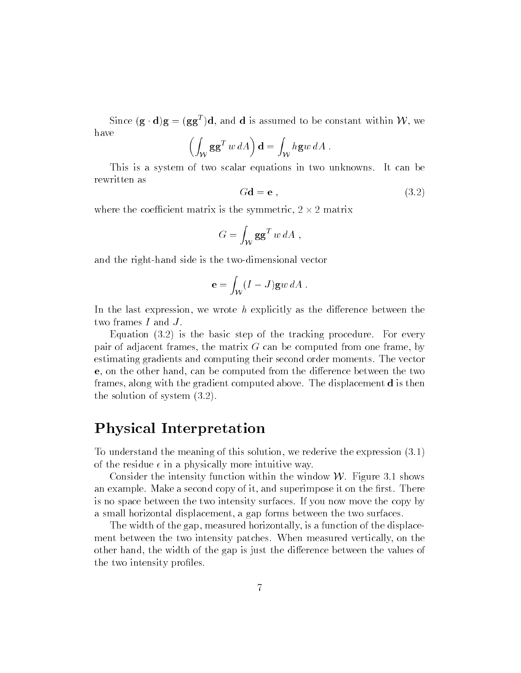Since  $(g \cdot q)g = (gg \cdot)q$ , and d is assumed to be constant within  $\nu \nu$ , we have Z za alternativa dell'alternativa di un constructo di un constructo di un constructo di un constructo di un constructo di un constructo di un constructo di un constructo di un constructo di un constructo di un constructo di

$$
\left(\int_W \mathbf{g} \mathbf{g}^T w \, dA\right) \mathbf{d} = \int_W h \mathbf{g} w \, dA \; .
$$

This is a system of two scalar equations in two unknowns. It can be rewritten as

$$
Gd = e , \t\t(3.2)
$$

where the coecient matrix is the symmetric, 2 - 2 matrix

$$
G = \int_{\mathcal{W}} \mathbf{g} \mathbf{g}^T w \, dA \;,
$$

and the right-hand side is the two-dimensional vector

$$
\mathbf{e} = \int_{\mathcal{W}} (I - J) \mathbf{g} w \, dA \, .
$$

In the last expression, we wrote h explicitly as the difference between the two frames  $I$  and  $J$ .

Equation (3.2) is the basic step of the tracking procedure. For every pair of adjacent frames, the matrix  $G$  can be computed from one frame, by estimating gradients and computing their second order moments. The vector e, on the other hand, can be computed from the difference between the two frames, along with the gradient computed above. The displacement d is then the solution of system (3.2).

### Physical Interpretation

To understand the meaning of this solution, we rederive the expression (3.1) of the residue  $\epsilon$  in a physically more intuitive way.

Consider the intensity function within the window  $W$ . Figure 3.1 shows an example. Make a second copy of it, and superimpose it on the first. There is no space between the two intensity surfaces. If you now move the copy by a small horizontal displacement, a gap forms between the two surfaces.

The width of the gap, measured horizontally, is a function of the displacement between the two intensity patches. When measured vertically, on the other hand, the width of the gap is just the difference between the values of the two intensity profiles.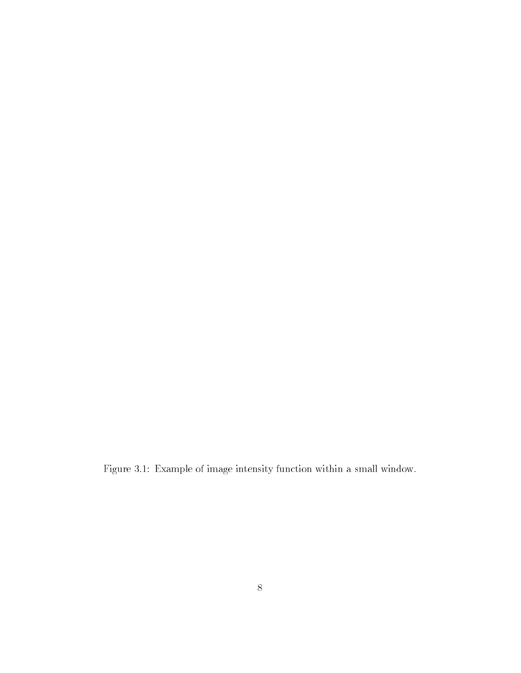Figure 3.1: Example of image intensity function within a small window.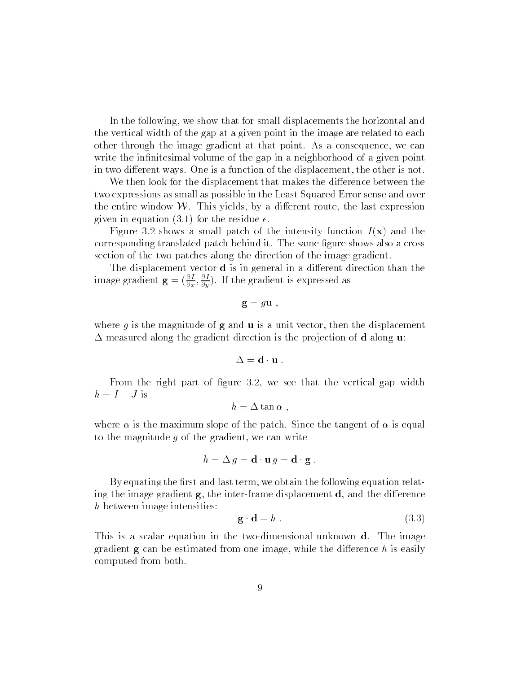In the following, we show that for small displacements the horizontal and the vertical width of the gap at a given point in the image are related to each other through the image gradient at that point. As a consequence, we can write the infinitesimal volume of the gap in a neighborhood of a given point in two different ways. One is a function of the displacement, the other is not.

We then look for the displacement that makes the difference between the two expressions as small as possible in the Least Squared Error sense and over the entire window  $W$ . This yields, by a different route, the last expression given in equation (3.1) for the residue  $\epsilon$ .

Figure 3.2 shows a small patch of the intensity function  $I(\mathbf{x})$  and the corresponding translated patch behind it. The same gure shows also a cross section of the two patches along the direction of the image gradient.

The displacement vector  $d$  is in general in a different direction than the image gradient  $\mathbf{g} = (\frac{\cdot}{\partial x}, \frac{\cdot}{\partial y})$ . If the gradient is expressed as

 $\mathbf{g} = g\mathbf{u}$ ,

where g is the magnitude of  $g$  and  $u$  is a unit vector, then the displacement  $\Delta$  measured along the gradient direction is the projection of **d** along **u**:

$$
\Delta = \mathbf{d} \cdot \mathbf{u} \; .
$$

From the right part of figure 3.2, we see that the vertical gap width  $h = I - J$  is

$$
h=\Delta\tan\alpha ,
$$

where  $\alpha$  is the maximum slope of the patch. Since the tangent of  $\alpha$  is equal to the magnitude  $q$  of the gradient, we can write

$$
h = \Delta g = \mathbf{d} \cdot \mathbf{u} \, g = \mathbf{d} \cdot \mathbf{g} \; .
$$

By equating the first and last term, we obtain the following equation relating the image gradient  $g$ , the inter-frame displacement  $d$ , and the difference h between image intensities:

$$
\mathbf{g} \cdot \mathbf{d} = h \tag{3.3}
$$

This is a scalar equation in the two-dimensional unknown d. The image gradient  $g$  can be estimated from one image, while the difference h is easily computed from both.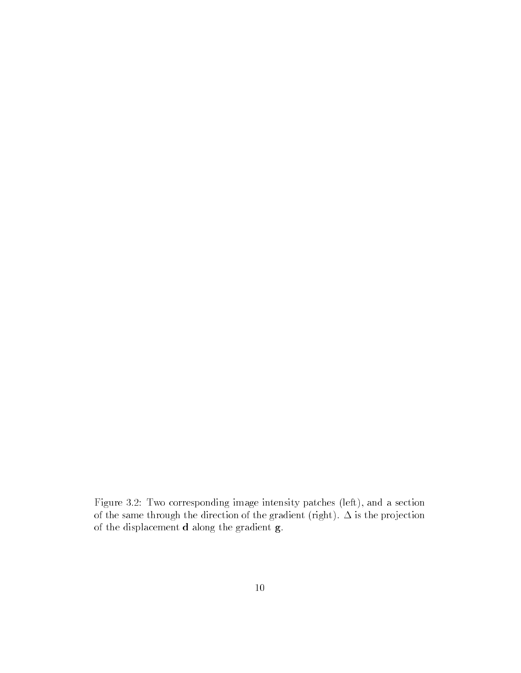Figure 3.2: Two corresponding image intensity patches (left), and a section of the same through the direction of the gradient (right).  $\Delta$  is the projection of the displacement d along the gradient g.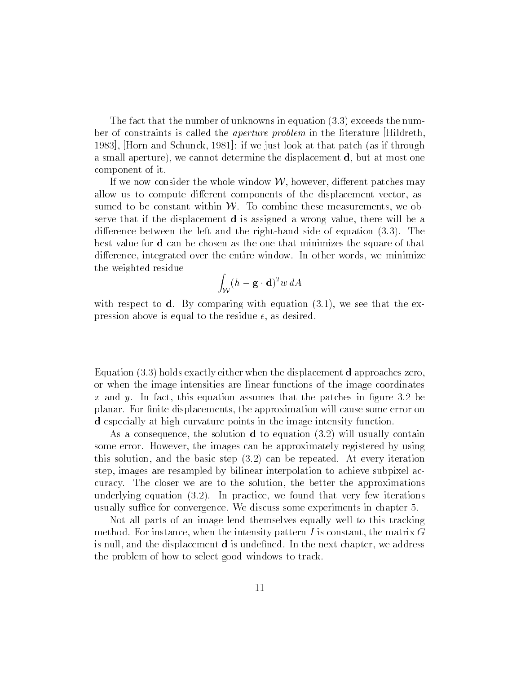The fact that the number of unknowns in equation (3.3) exceeds the number of constraints is called the aperture problem in the literature [Hildreth, 1983], [Horn and Schunck, 1981]: if we just look at that patch (as if through a small aperture), we cannot determine the displacement d, but at most one component of it.

If we now consider the whole window  $W$ , however, different patches may allow us to compute different components of the displacement vector, assumed to be constant within  $W$ . To combine these measurements, we observe that if the displacement d is assigned a wrong value, there will be a difference between the left and the right-hand side of equation  $(3.3)$ . The best value for d can be chosen as the one that minimizes the square of that difference, integrated over the entire window. In other words, we minimize the weighted residue

$$
\int_{\mathcal{W}} (h-\mathbf{g}\cdot \mathbf{d})^2 w \, dA
$$

with respect to  $d$ . By comparing with equation  $(3.1)$ , we see that the expression above is equal to the residue  $\epsilon$ , as desired.

Equation (3.3) holds exactly either when the displacement d approaches zero, or when the image intensities are linear functions of the image coordinates x and y. In fact, this equation assumes that the patches in figure 3.2 be planar. For finite displacements, the approximation will cause some error on d especially at high-curvature points in the image intensity function.

As a consequence, the solution d to equation (3.2) will usually contain some error. However, the images can be approximately registered by using this solution, and the basic step (3.2) can be repeated. At every iteration step, images are resampled by bilinear interpolation to achieve subpixel accuracy. The closer we are to the solution, the better the approximations underlying equation (3.2). In practice, we found that very few iterations usually suffice for convergence. We discuss some experiments in chapter 5.

Not all parts of an image lend themselves equally well to this tracking method. For instance, when the intensity pattern  $I$  is constant, the matrix  $G$ is null, and the displacement **d** is undefined. In the next chapter, we address the problem of how to select good windows to track.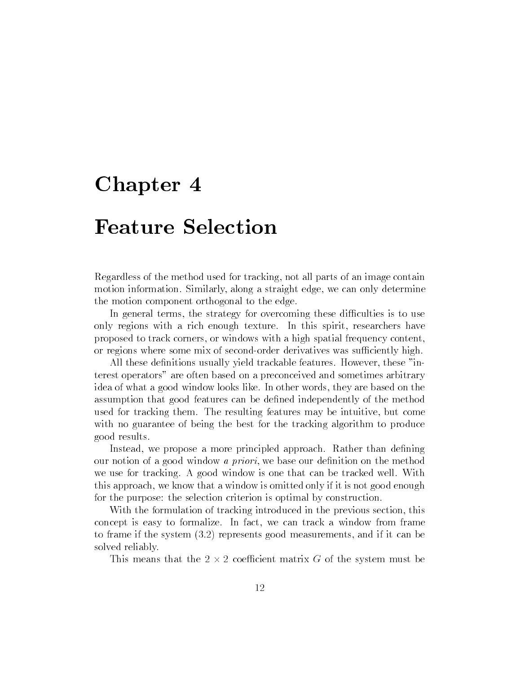### Feature Selection

Regardless of the method used for tracking, not all parts of an image contain motion information. Similarly, along a straight edge, we can only determine the motion component orthogonal to the edge.

In general terms, the strategy for overcoming these difficulties is to use only regions with a rich enough texture. In this spirit, researchers have proposed to track corners, or windows with a high spatial frequency content, or regions where some mix of second-order derivatives was sufficiently high.

All these definitions usually yield trackable features. However, these "interest operators" are often based on a preconceived and sometimes arbitrary idea of what a good window looks like. In other words, they are based on the assumption that good features can be dened independently of the method used for tracking them. The resulting features may be intuitive, but come with no guarantee of being the best for the tracking algorithm to produce good results.

Instead, we propose a more principled approach. Rather than defining our notion of a good window *a priori*, we base our definition on the method we use for tracking. A good window is one that can be tracked well. With this approach, we know that a window is omitted only if it is not good enough for the purpose: the selection criterion is optimal by construction.

With the formulation of tracking introduced in the previous section, this concept is easy to formalize. In fact, we can track a window from frame to frame if the system (3.2) represents good measurements, and if it can be solved reliably.

This means that the 2 - 2 coecient matrix G of the system must be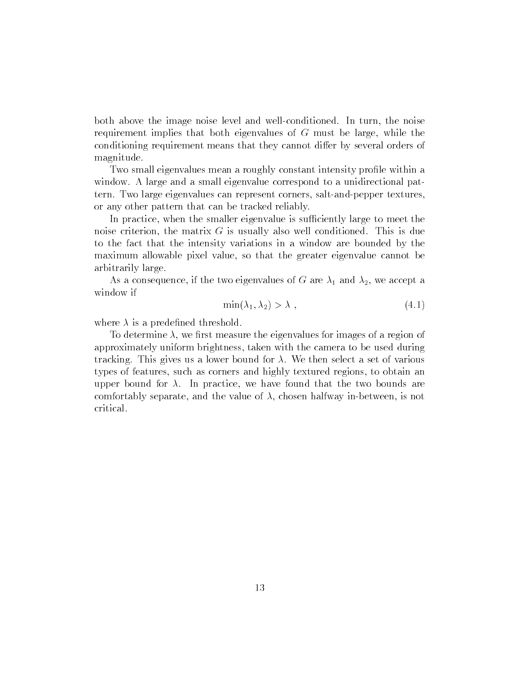both above the image noise level and well-conditioned. In turn, the noise requirement implies that both eigenvalues of G must be large, while the conditioning requirement means that they cannot differ by several orders of magnitude.

Two small eigenvalues mean a roughly constant intensity profile within a window. A large and a small eigenvalue correspond to a unidirectional pattern. Two large eigenvalues can represent corners, salt-and-pepper textures, or any other pattern that can be tracked reliably.

In practice, when the smaller eigenvalue is sufficiently large to meet the noise criterion, the matrix  $G$  is usually also well conditioned. This is due to the fact that the intensity variations in a window are bounded by the maximum allowable pixel value, so that the greater eigenvalue cannot be arbitrarily large.

As a consequence, if the two eigenvalues of G are  $\lambda_1$  and  $\lambda_2$ , we accept a window if

$$
\min(\lambda_1, \lambda_2) > \lambda \tag{4.1}
$$

where  $\lambda$  is a predefined threshold.

To determine  $\lambda$ , we first measure the eigenvalues for images of a region of approximately uniform brightness, taken with the camera to be used during tracking. This gives us a lower bound for  $\lambda$ . We then select a set of various types of features, such as corners and highly textured regions, to obtain an upper bound for  $\lambda$ . In practice, we have found that the two bounds are comfortably separate, and the value of  $\lambda$ , chosen halfway in-between, is not critical.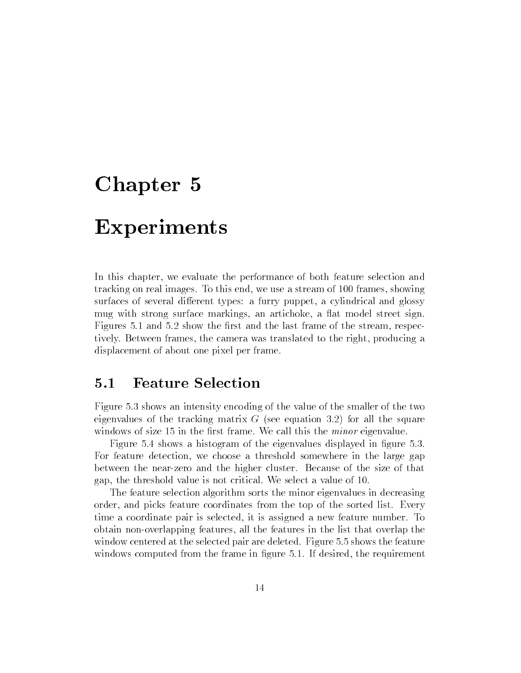### Experiments

In this chapter, we evaluate the performance of both feature selection and tracking on real images. To this end, we use a stream of 100 frames, showing surfaces of several different types: a furry puppet, a cylindrical and glossy mug with strong surface markings, an artichoke, a flat model street sign. Figures 5.1 and 5.2 show the first and the last frame of the stream, respectively. Between frames, the camera was translated to the right, producing a displacement of about one pixel per frame.

#### **Feature Selection**  $5.1$

Figure 5.3 shows an intensity encoding of the value of the smaller of the two eigenvalues of the tracking matrix  $G$  (see equation 3.2) for all the square windows of size 15 in the first frame. We call this the *minor* eigenvalue.

Figure 5.4 shows a histogram of the eigenvalues displayed in figure 5.3. For feature detection, we choose a threshold somewhere in the large gap between the near-zero and the higher cluster. Because of the size of that gap, the threshold value is not critical. We select a value of 10.

The feature selection algorithm sorts the minor eigenvalues in decreasing order, and picks feature coordinates from the top of the sorted list. Every time a coordinate pair is selected, it is assigned a new feature number. To obtain non-overlapping features, all the features in the list that overlap the window centered at the selected pair are deleted. Figure 5.5 shows the feature windows computed from the frame in figure 5.1. If desired, the requirement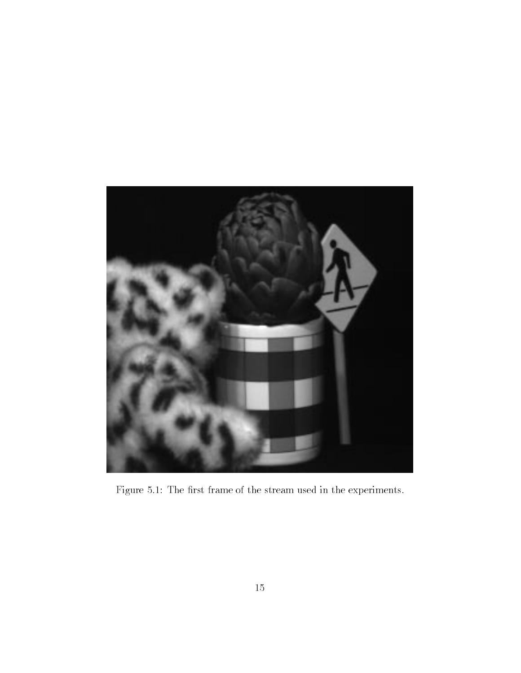

Figure 5.1: The first frame of the stream used in the experiments.  $\;$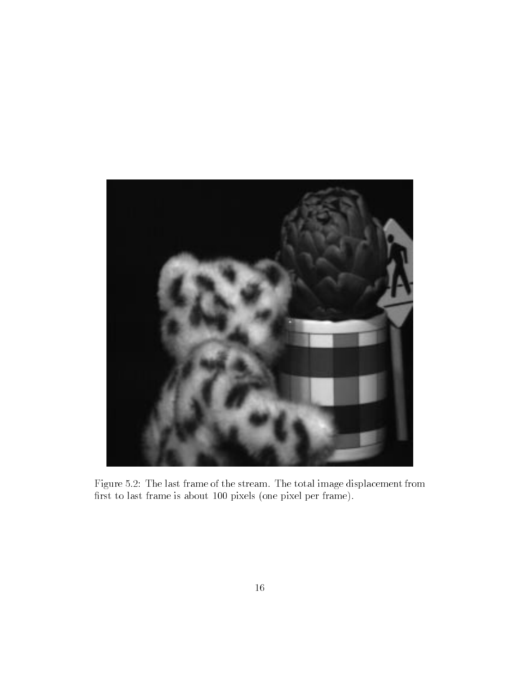

Figure 5.2: The last frame of the stream. The total image displacement from first to last frame is about 100 pixels (one pixel per frame).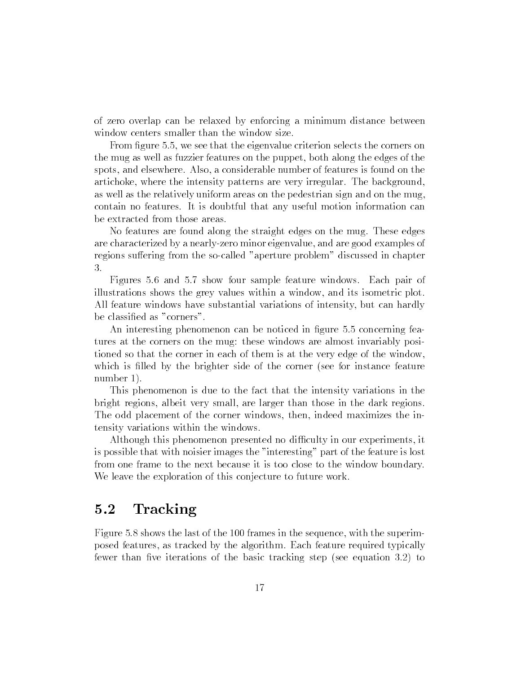of zero overlap can be relaxed by enforcing a minimum distance between window centers smaller than the window size.

From figure 5.5, we see that the eigenvalue criterion selects the corners on the mug as well as fuzzier features on the puppet, both along the edges of the spots, and elsewhere. Also, a considerable number of features is found on the artichoke, where the intensity patterns are very irregular. The background, as well as the relatively uniform areas on the pedestrian sign and on the mug, contain no features. It is doubtful that any useful motion information can be extracted from those areas.

No features are found along the straight edges on the mug. These edges are characterized by a nearly-zero minor eigenvalue, and are good examples of regions suffering from the so-called "aperture problem" discussed in chapter 3.

Figures 5.6 and 5.7 show four sample feature windows. Each pair of illustrations shows the grey values within a window, and its isometric plot. All feature windows have substantial variations of intensity, but can hardly be classied as "corners".

An interesting phenomenon can be noticed in figure 5.5 concerning features at the corners on the mug: these windows are almost invariably positioned so that the corner in each of them is at the very edge of the window, which is filled by the brighter side of the corner (see for instance feature number 1).

This phenomenon is due to the fact that the intensity variations in the bright regions, albeit very small, are larger than those in the dark regions. The odd placement of the corner windows, then, indeed maximizes the intensity variations within the windows.

Although this phenomenon presented no difficulty in our experiments, it is possible that with noisier images the "interesting" part of the feature is lost from one frame to the next because it is too close to the window boundary. We leave the exploration of this conjecture to future work.

#### $5.2$ Tracking

Figure 5.8 shows the last of the 100 frames in the sequence, with the superimposed features, as tracked by the algorithm. Each feature required typically fewer than five iterations of the basic tracking step (see equation 3.2) to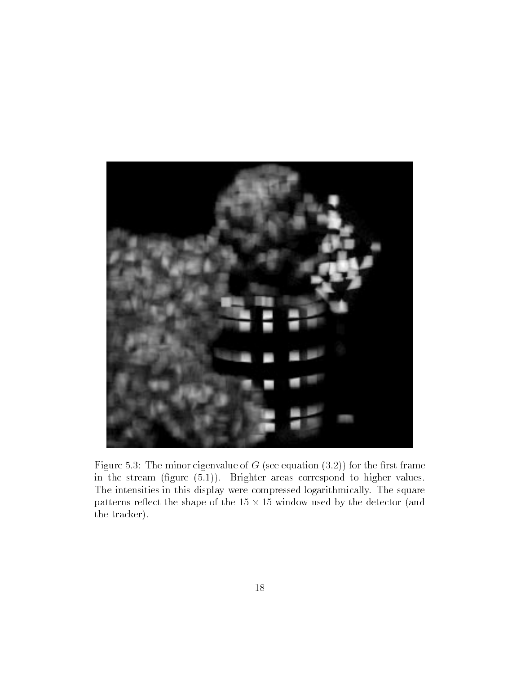

Figure 5.3: The minor eigenvalue of  $G$  (see equation  $(3.2)$ ) for the first frame in the stream (figure  $(5.1)$ ). Brighter areas correspond to higher values. The intensities in this display were compressed logarithmically. The square patterns remains the shape of the shape of the shape of the detector (and the 15 million) the tracker).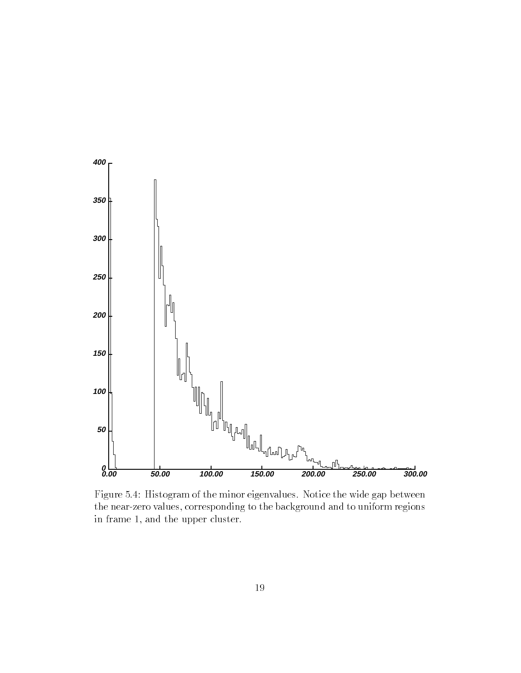

Figure 5.4: Histogram of the minor eigenvalues. Notice the wide gap between the near-zero values, corresponding to the background and to uniform regions in frame 1, and the upper cluster.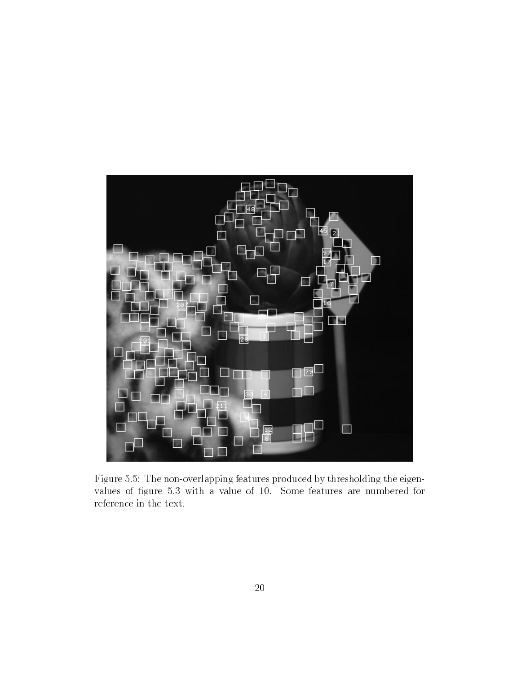

Figure 5.5: The non-overlapping features produced by thresholding the eigenvalues of figure 5.3 with a value of 10. Some features are numbered for reference in the text.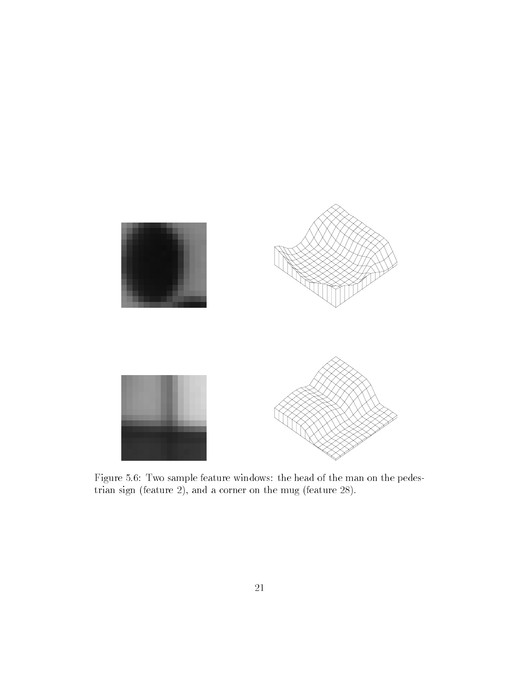

Figure 5.6: Two sample feature windows: the head of the man on the pedestrian sign (feature 2), and a corner on the mug (feature 28).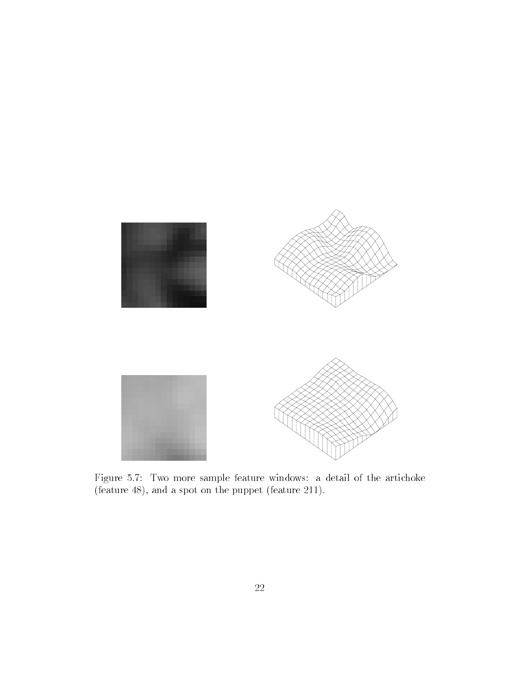

Figure 5.7: Two more sample feature windows: a detail of the artichoke (feature 48), and a spot on the puppet (feature 211).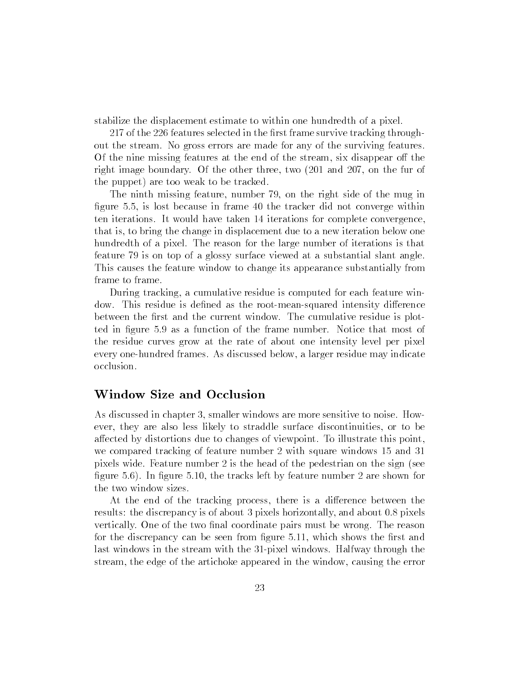stabilize the displacement estimate to within one hundredth of a pixel.

217 of the 226 features selected in the first frame survive tracking throughout the stream. No gross errors are made for any of the surviving features. Of the nine missing features at the end of the stream, six disappear off the right image boundary. Of the other three, two (201 and 207, on the fur of the puppet) are too weak to be tracked.

The ninth missing feature, number 79, on the right side of the mug in figure 5.5, is lost because in frame 40 the tracker did not converge within ten iterations. It would have taken 14 iterations for complete convergence, that is, to bring the change in displacement due to a new iteration below one hundredth of a pixel. The reason for the large number of iterations is that feature 79 is on top of a glossy surface viewed at a substantial slant angle. This causes the feature window to change its appearance substantially from frame to frame.

During tracking, a cumulative residue is computed for each feature window. This residue is defined as the root-mean-squared intensity difference between the first and the current window. The cumulative residue is plotted in figure 5.9 as a function of the frame number. Notice that most of the residue curves grow at the rate of about one intensity level per pixel every one-hundred frames. As discussed below, a larger residue may indicate occlusion.

### Window Size and Occlusion

As discussed in chapter 3, smaller windows are more sensitive to noise. However, they are also less likely to straddle surface discontinuities, or to be affected by distortions due to changes of viewpoint. To illustrate this point, we compared tracking of feature number 2 with square windows 15 and 31 pixels wide. Feature number 2 is the head of the pedestrian on the sign (see figure  $5.6$ ). In figure  $5.10$ , the tracks left by feature number 2 are shown for the two window sizes.

At the end of the tracking process, there is a difference between the results: the discrepancy is of about 3 pixels horizontally, and about 0.8 pixels vertically. One of the two final coordinate pairs must be wrong. The reason for the discrepancy can be seen from figure 5.11, which shows the first and last windows in the stream with the 31-pixel windows. Halfway through the stream, the edge of the artichoke appeared in the window, causing the error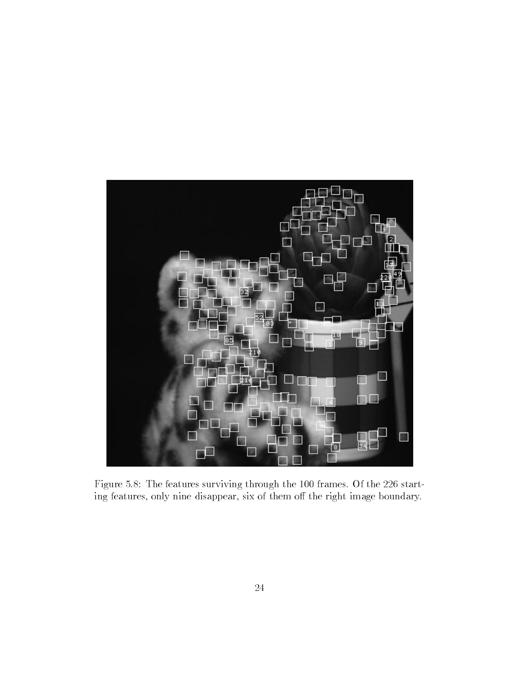

Figure 5.8: The features surviving through the 100 frames. Of the 226 starting features, only nine disappear, six of them off the right image boundary.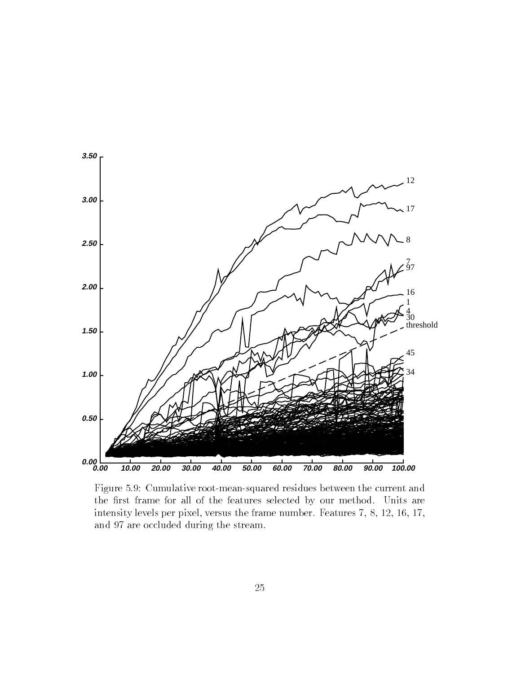

Figure 5.9: Cumulative root-mean-squared residues between the current and the first frame for all of the features selected by our method. Units are intensity levels per pixel, versus the frame number. Features 7, 8, 12, 16, 17, and 97 are occluded during the stream.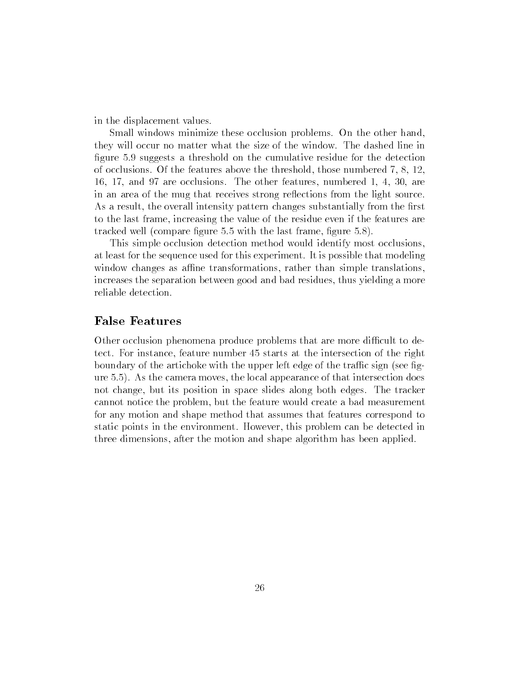in the displacement values.

Small windows minimize these occlusion problems. On the other hand, they will occur no matter what the size of the window. The dashed line in figure 5.9 suggests a threshold on the cumulative residue for the detection of occlusions. Of the features above the threshold, those numbered 7, 8, 12, 16, 17, and 97 are occlusions. The other features, numbered 1, 4, 30, are in an area of the mug that receives strong reflections from the light source. As a result, the overall intensity pattern changes substantially from the first to the last frame, increasing the value of the residue even if the features are tracked well (compare figure  $5.5$  with the last frame, figure  $5.8$ ).

This simple occlusion detection method would identify most occlusions, at least for the sequence used for this experiment. It is possible that modeling window changes as affine transformations, rather than simple translations, increases the separation between good and bad residues, thus yielding a more reliable detection.

### False Features

Other occlusion phenomena produce problems that are more difficult to detect. For instance, feature number 45 starts at the intersection of the right boundary of the artichoke with the upper left edge of the traffic sign (see figure 5.5). As the camera moves, the local appearance of that intersection does not change, but its position in space slides along both edges. The tracker cannot notice the problem, but the feature would create a bad measurement for any motion and shape method that assumes that features correspond to static points in the environment. However, this problem can be detected in three dimensions, after the motion and shape algorithm has been applied.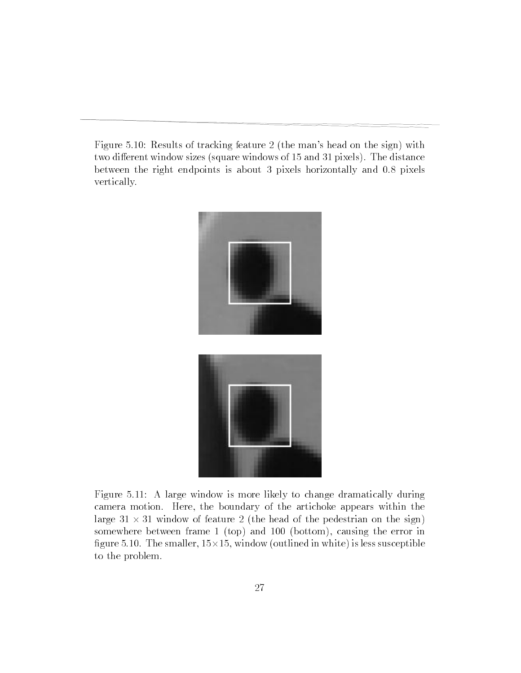Figure 5.10: Results of tracking feature 2 (the man's head on the sign) with two different window sizes (square windows of 15 and 31 pixels). The distance between the right endpoints is about 3 pixels horizontally and 0.8 pixels vertically.





Figure 5.11: A large window is more likely to change dramatically during camera motion. Here, the boundary of the artichoke appears within the large 31 - 31 window of feature 2 (the head of the pedestrian on the sign) somewhere between frame 1 (top) and 100 (bottom), causing the error in ..., with the smaller continues, is less substituted in white in white  $\mathcal{G}_1$  , we have a substitute in which is to the problem.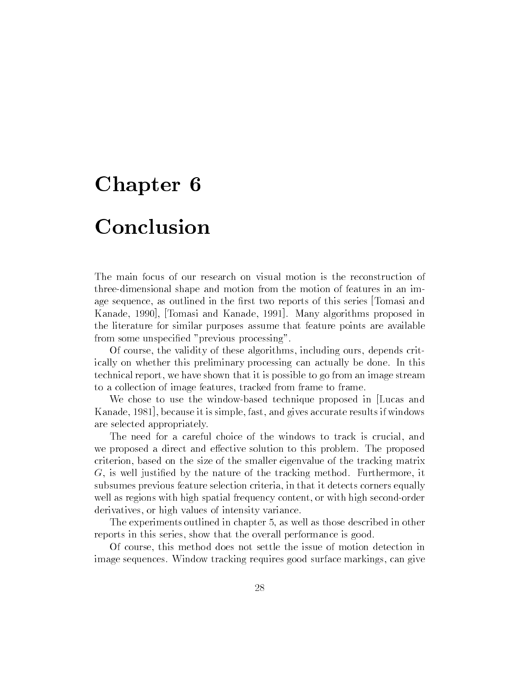### Conclusion

The main focus of our research on visual motion is the reconstruction of three-dimensional shape and motion from the motion of features in an image sequence, as outlined in the first two reports of this series Tomasi and Kanade, 1990], [Tomasi and Kanade, 1991]. Many algorithms proposed in the literature for similar purposes assume that feature points are available from some unspecied "previous processing".

Of course, the validity of these algorithms, including ours, depends critically on whether this preliminary processing can actually be done. In this technical report, we have shown that it is possible to go from an image stream to a collection of image features, tracked from frame to frame.

We chose to use the window-based technique proposed in Lucas and Kanade, 1981], because it is simple, fast, and gives accurate results if windows are selected appropriately.

The need for a careful choice of the windows to track is crucial, and we proposed a direct and effective solution to this problem. The proposed criterion, based on the size of the smaller eigenvalue of the tracking matrix G, is well justied by the nature of the tracking method. Furthermore, it subsumes previous feature selection criteria, in that it detects corners equally well as regions with high spatial frequency content, or with high second-order derivatives, or high values of intensity variance.

The experiments outlined in chapter 5, as well as those described in other reports in this series, show that the overall performance is good.

Of course, this method does not settle the issue of motion detection in image sequences. Window tracking requires good surface markings, can give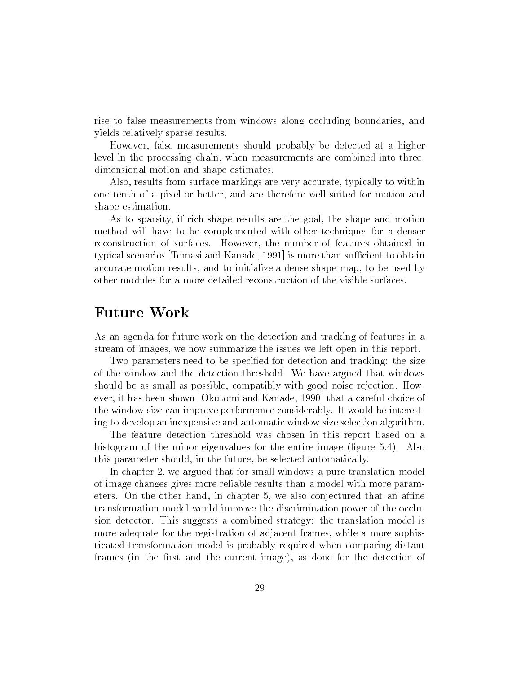rise to false measurements from windows along occluding boundaries, and yields relatively sparse results.

However, false measurements should probably be detected at a higher level in the processing chain, when measurements are combined into threedimensional motion and shape estimates.

Also, results from surface markings are very accurate, typically to within one tenth of a pixel or better, and are therefore well suited for motion and shape estimation.

As to sparsity, if rich shape results are the goal, the shape and motion method will have to be complemented with other techniques for a denser reconstruction of surfaces. However, the number of features obtained in typical scenarios [Tomasi and Kanade, 1991] is more than sufficient to obtain accurate motion results, and to initialize a dense shape map, to be used by other modules for a more detailed reconstruction of the visible surfaces.

As an agenda for future work on the detection and tracking of features in a stream of images, we now summarize the issues we left open in this report.

Two parameters need to be specified for detection and tracking: the size of the window and the detection threshold. We have argued that windows should be as small as possible, compatibly with good noise rejection. However, it has been shown [Okutomi and Kanade, 1990] that a careful choice of the window size can improve performance considerably. It would be interesting to develop an inexpensive and automatic window size selection algorithm.

The feature detection threshold was chosen in this report based on a histogram of the minor eigenvalues for the entire image (figure  $5.4$ ). Also this parameter should, in the future, be selected automatically.

In chapter 2, we argued that for small windows a pure translation model of image changes gives more reliable results than a model with more parameters. On the other hand, in chapter 5, we also conjectured that an affine transformation model would improve the discrimination power of the occlusion detector. This suggests a combined strategy: the translation model is more adequate for the registration of adjacent frames, while a more sophisticated transformation model is probably required when comparing distant frames (in the first and the current image), as done for the detection of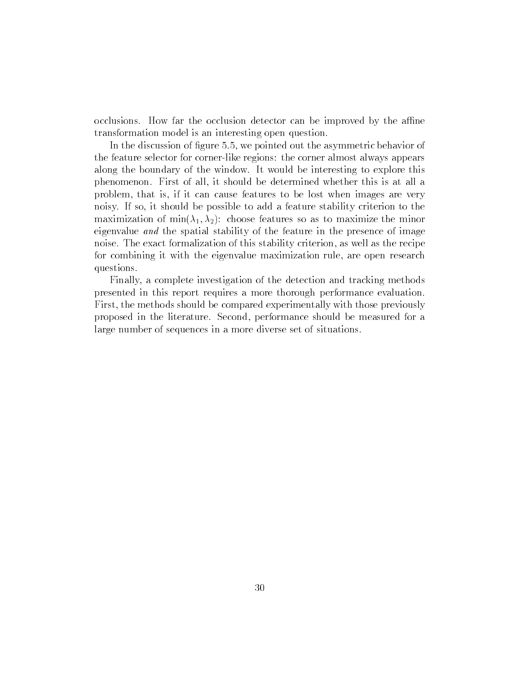occlusions. How far the occlusion detector can be improved by the affine transformation model is an interesting open question.

In the discussion of figure 5.5, we pointed out the asymmetric behavior of the feature selector for corner-like regions: the corner almost always appears along the boundary of the window. It would be interesting to explore this phenomenon. First of all, it should be determined whether this is at all a problem, that is, if it can cause features to be lost when images are very noisy. If so, it should be possible to add a feature stability criterion to the maximization of min $(\lambda_1, \lambda_2)$ : choose features so as to maximize the minor eigenvalue and the spatial stability of the feature in the presence of image noise. The exact formalization of this stability criterion, as well as the recipe for combining it with the eigenvalue maximization rule, are open research questions.

Finally, a complete investigation of the detection and tracking methods presented in this report requires a more thorough performance evaluation. First, the methods should be compared experimentally with those previously proposed in the literature. Second, performance should be measured for a large number of sequences in a more diverse set of situations.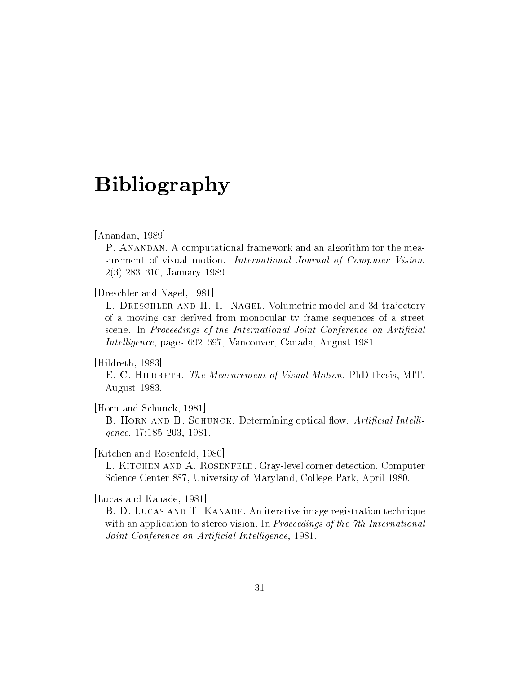### Bibliography

#### [Anandan, 1989]

P. ANANDAN. A computational framework and an algorithm for the measurement of visual motion. International Journal of Computer Vision, 2(3):283-310, January 1989.

[Dreschler and Nagel, 1981]

L. Dreschler and H.-H. Nagel. Volumetric model and 3d tra jectory of a moving car derived from monocular tv frame sequences of a street scene. In Proceedings of the International Joint Conference on Artificial Intelligence, pages 692–697, Vancouver, Canada, August 1981.

[Hildreth, 1983]

E. C. HILDRETH. The Measurement of Visual Motion. PhD thesis, MIT, August 1983.

[Horn and Schunck, 1981]

B. HORN AND B. SCHUNCK. Determining optical flow. Artificial Intelli- $\text{gence}, 17:185-203, 1981.$ 

[Kitchen and Rosenfeld, 1980]

L. Kitchen and A. Rosenfeld. Gray-level corner detection. Computer Science Center 887, University of Maryland, College Park, April 1980.

[Lucas and Kanade, 1981]

B. D. Lucas and T. Kanade. An iterative image registration technique with an application to stereo vision. In *Proceedings of the 7th International* Joint Conference on Artificial Intelligence, 1981.